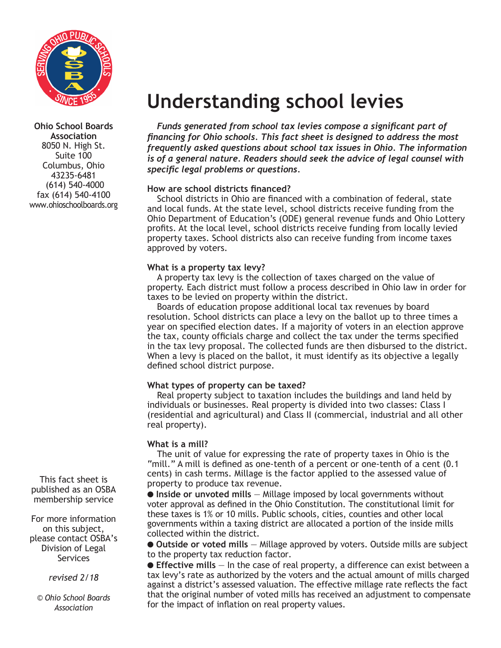

**Ohio School Boards Association** 8050 N. High St. Suite 100 Columbus, Ohio 43235-6481 (614) 540-4000 fax (614) 540-4100 www.ohioschoolboards.org

This fact sheet is published as an OSBA membership service

For more information on this subject, please contact OSBA's Division of Legal **Services** 

*revised 2/18*

*© Ohio School Boards Association*

# **Understanding school levies**

*Funds generated from school tax levies compose a significant part of financing for Ohio schools. This fact sheet is designed to address the most frequently asked questions about school tax issues in Ohio. The information is of a general nature. Readers should seek the advice of legal counsel with specific legal problems or questions.*

# **How are school districts financed?**

School districts in Ohio are financed with a combination of federal, state and local funds. At the state level, school districts receive funding from the Ohio Department of Education's (ODE) general revenue funds and Ohio Lottery profits. At the local level, school districts receive funding from locally levied property taxes. School districts also can receive funding from income taxes approved by voters.

## **What is a property tax levy?**

A property tax levy is the collection of taxes charged on the value of property. Each district must follow a process described in Ohio law in order for taxes to be levied on property within the district.

Boards of education propose additional local tax revenues by board resolution. School districts can place a levy on the ballot up to three times a year on specified election dates. If a majority of voters in an election approve the tax, county officials charge and collect the tax under the terms specified in the tax levy proposal. The collected funds are then disbursed to the district. When a levy is placed on the ballot, it must identify as its objective a legally defined school district purpose.

# **What types of property can be taxed?**

Real property subject to taxation includes the buildings and land held by individuals or businesses. Real property is divided into two classes: Class I (residential and agricultural) and Class II (commercial, industrial and all other real property).

# **What is a mill?**

The unit of value for expressing the rate of property taxes in Ohio is the "mill." A mill is defined as one-tenth of a percent or one-tenth of a cent (0.1 cents) in cash terms. Millage is the factor applied to the assessed value of property to produce tax revenue.

**Inside or unvoted mills** – Millage imposed by local governments without voter approval as defined in the Ohio Constitution. The constitutional limit for these taxes is 1% or 10 mills. Public schools, cities, counties and other local governments within a taxing district are allocated a portion of the inside mills collected within the district.

**Outside or voted mills** – Millage approved by voters. Outside mills are subject to the property tax reduction factor.

**Effective mills** – In the case of real property, a difference can exist between a tax levy's rate as authorized by the voters and the actual amount of mills charged against a district's assessed valuation. The effective millage rate reflects the fact that the original number of voted mills has received an adjustment to compensate for the impact of inflation on real property values.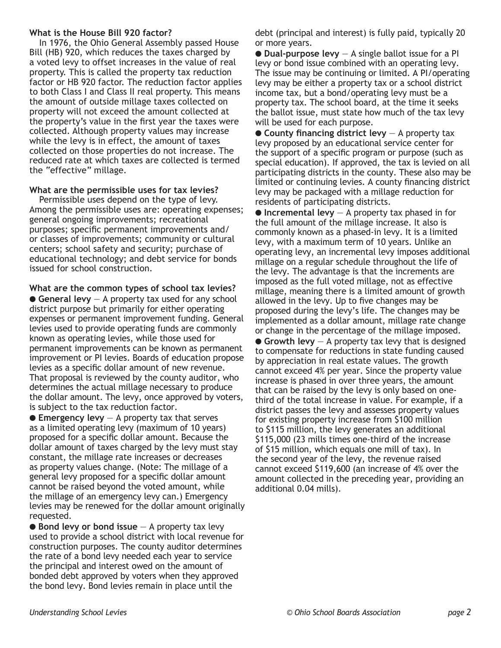#### **What is the House Bill 920 factor?**

In 1976, the Ohio General Assembly passed House Bill (HB) 920, which reduces the taxes charged by a voted levy to offset increases in the value of real property. This is called the property tax reduction factor or HB 920 factor. The reduction factor applies to both Class I and Class II real property. This means the amount of outside millage taxes collected on property will not exceed the amount collected at the property's value in the first year the taxes were collected. Although property values may increase while the levy is in effect, the amount of taxes collected on those properties do not increase. The reduced rate at which taxes are collected is termed the "effective" millage.

#### **What are the permissible uses for tax levies?**

Permissible uses depend on the type of levy. Among the permissible uses are: operating expenses; general ongoing improvements; recreational purposes; specific permanent improvements and/ or classes of improvements; community or cultural centers; school safety and security; purchase of educational technology; and debt service for bonds issued for school construction.

**What are the common types of school tax levies?**

 $\bullet$  General levy  $-$  A property tax used for any school district purpose but primarily for either operating expenses or permanent improvement funding. General levies used to provide operating funds are commonly known as operating levies, while those used for permanent improvements can be known as permanent improvement or PI levies. Boards of education propose levies as a specific dollar amount of new revenue. That proposal is reviewed by the county auditor, who determines the actual millage necessary to produce the dollar amount. The levy, once approved by voters, is subject to the tax reduction factor.

 $\bullet$  **Emergency levy**  $-$  A property tax that serves as a limited operating levy (maximum of 10 years) proposed for a specific dollar amount. Because the dollar amount of taxes charged by the levy must stay constant, the millage rate increases or decreases as property values change. (Note: The millage of a general levy proposed for a specific dollar amount cannot be raised beyond the voted amount, while the millage of an emergency levy can.) Emergency levies may be renewed for the dollar amount originally requested.

● **Bond levy or bond issue** – A property tax levy used to provide a school district with local revenue for construction purposes. The county auditor determines the rate of a bond levy needed each year to service the principal and interest owed on the amount of bonded debt approved by voters when they approved the bond levy. Bond levies remain in place until the

debt (principal and interest) is fully paid, typically 20 or more years.

 $\bullet$  **Dual-purpose levy**  $-$  A single ballot issue for a PI levy or bond issue combined with an operating levy. The issue may be continuing or limited. A PI/operating levy may be either a property tax or a school district income tax, but a bond/operating levy must be a property tax. The school board, at the time it seeks the ballot issue, must state how much of the tax levy will be used for each purpose.

 $\bullet$  County financing district levy  $-$  A property tax levy proposed by an educational service center for the support of a specific program or purpose (such as special education). If approved, the tax is levied on all participating districts in the county. These also may be limited or continuing levies. A county financing district levy may be packaged with a millage reduction for residents of participating districts.

 $\bullet$  **Incremental levy**  $-$  A property tax phased in for the full amount of the millage increase. It also is commonly known as a phased-in levy. It is a limited levy, with a maximum term of 10 years. Unlike an operating levy, an incremental levy imposes additional millage on a regular schedule throughout the life of the levy. The advantage is that the increments are imposed as the full voted millage, not as effective millage, meaning there is a limited amount of growth allowed in the levy. Up to five changes may be proposed during the levy's life. The changes may be implemented as a dollar amount, millage rate change or change in the percentage of the millage imposed.  $\bullet$  Growth levy  $-$  A property tax levy that is designed to compensate for reductions in state funding caused by appreciation in real estate values. The growth cannot exceed 4% per year. Since the property value increase is phased in over three years, the amount that can be raised by the levy is only based on onethird of the total increase in value. For example, if a district passes the levy and assesses property values for existing property increase from \$100 million to \$115 million, the levy generates an additional \$115,000 (23 mills times one-third of the increase of \$15 million, which equals one mill of tax). In the second year of the levy, the revenue raised cannot exceed \$119,600 (an increase of 4% over the amount collected in the preceding year, providing an additional 0.04 mills).